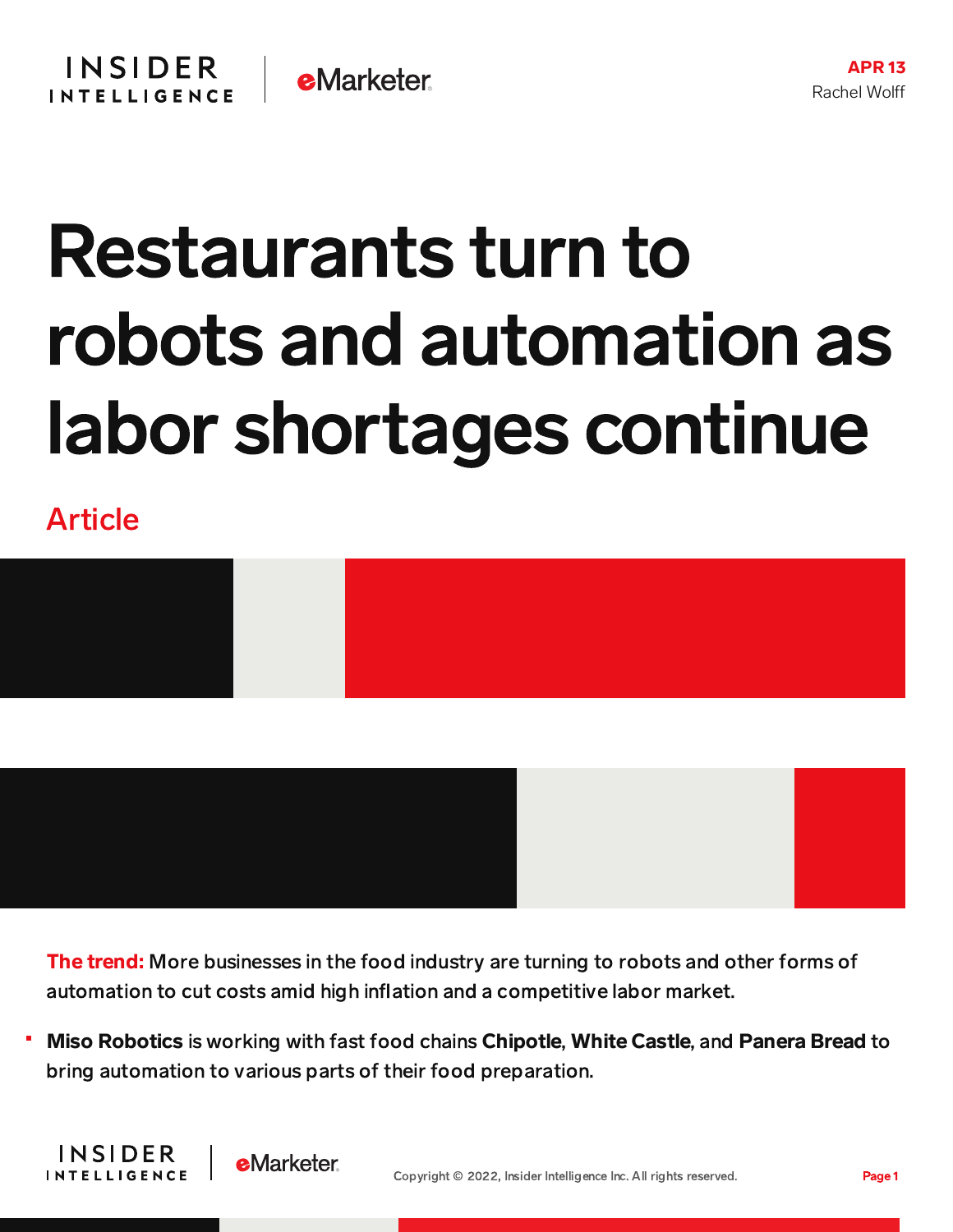## Restaurants turn to robots and automation as labor shortages continue

Article

**INSIDER** 

**INTELLIGENCE** 



The trend: More businesses in the food industry are turning to robots and other forms of automation to cut costs amid high inflation and a competitive labor market.

Miso Robotics is working with fast food chains Chipotle, White Castle, and Panera Bread to bring automation to various parts of their food preparation.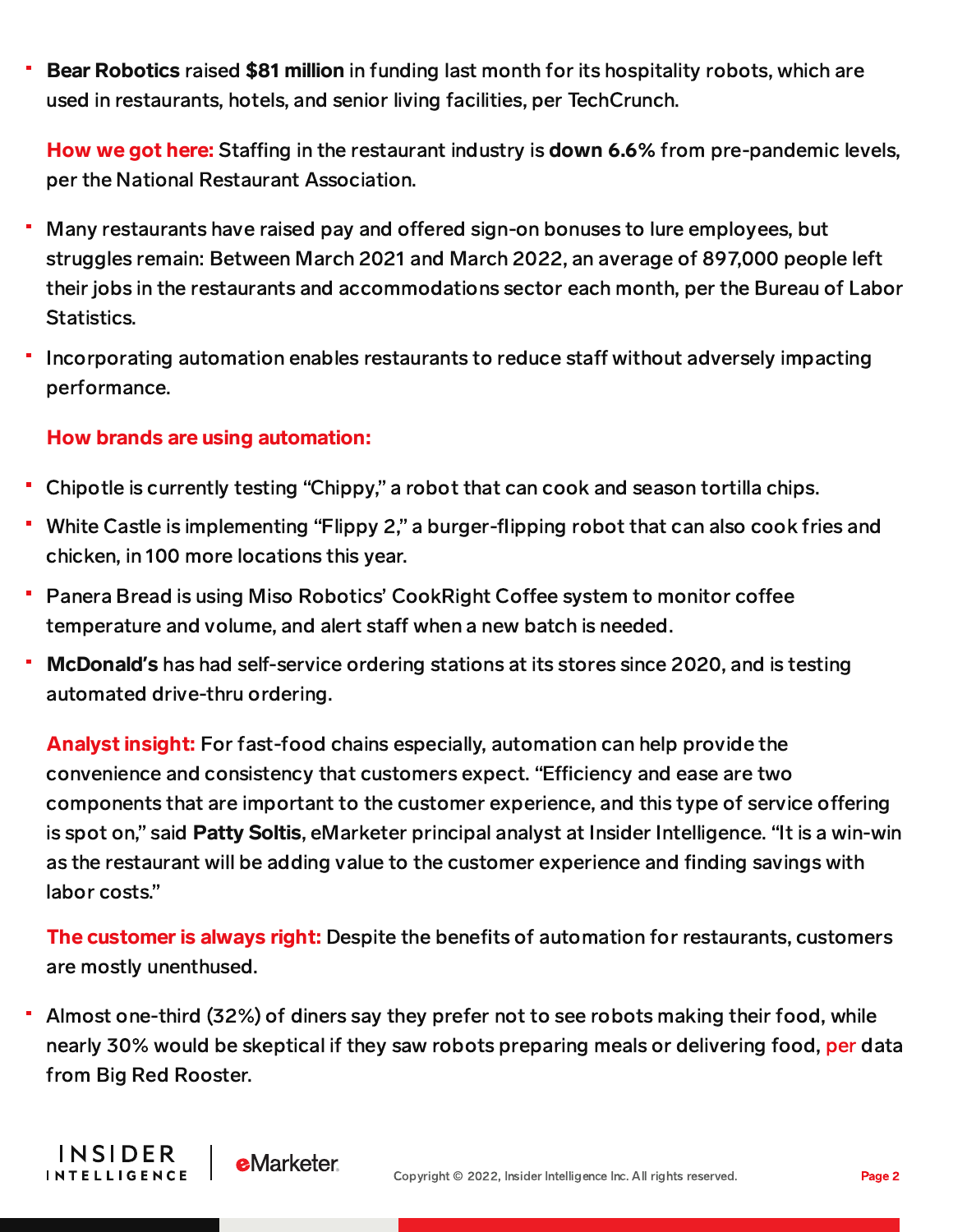Bear Robotics raised \$81 million in funding last month for its hospitality robots, which are used in restaurants, hotels, and senior living facilities, per TechCrunch.

How we got here: Staffing in the restaurant industry is down 6.6% from pre-pandemic levels, per the National Restaurant Association.

- Many restaurants have raised pay and offered sign-on bonuses to lure employees, but struggles remain: Between March 2021 and March 2022, an average of 897,000 people left their jobs in the restaurants and accommodations sector each month, per the Bureau of Labor Statistics.
- Incorporating automation enables restaurants to reduce staff without adversely impacting performance.

## How brands are using automation:

**INSIDER** 

**INTELLIGENCE** 

**eMarketer** 

- Chipotle is currently testing "Chippy," a robot that can cook and season tortilla chips.
- White Castle is implementing "Flippy 2," a burger-flipping robot that can also cook fries and chicken, in 100 more locations this year.
- Panera Bread is using Miso Robotics' CookRight Coffee system to monitor coffee temperature and volume, and alert staff when a new batch is needed.
- McDonald**'**s has had self-service ordering stations at its stores since 2020, and is testing automated drive-thru ordering.

Analyst insight: For fast-food chains especially, automation can help provide the convenience and consistency that customers expect. "Efficiency and ease are two components that are important to the customer experience, and this type of service offering is spot on," said Patty Soltis, eMarketer principal analyst at Insider Intelligence. "It is a win-win as the restaurant will be adding value to the customer experience and finding savings with labor costs."

The customer is always right: Despite the benefits of automation for restaurants, customers are mostly unenthused.

Ξ Almost one-third (32%) of diners say they prefer not to see robots making their food, while nearly 30% would be skeptical if they saw robots preparing meals or delivering food, [per](https://www.restaurantdive.com/news/one-third-of-diners-dont-want-to-see-robots-prepare-their-food/621721/) data from Big Red Rooster.